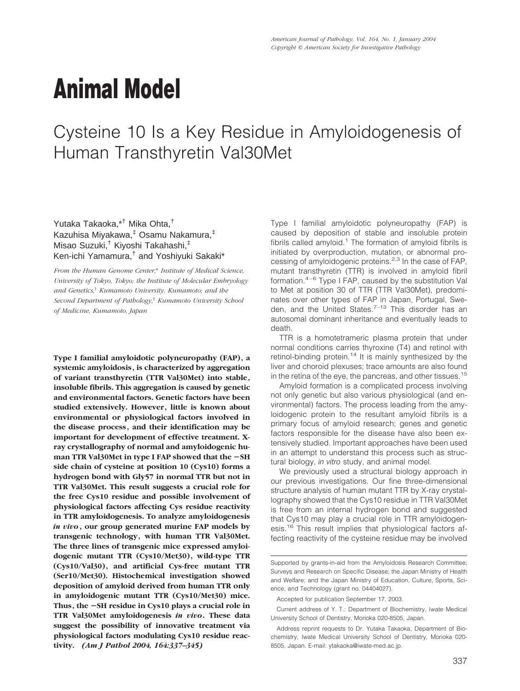# **Animal Model**

# Cysteine 10 Is a Key Residue in Amyloidogenesis of Human Transthyretin Val30Met

Yutaka Takaoka,\*† Mika Ohta,† Kazuhisa Miyakawa,‡ Osamu Nakamura,‡ Misao Suzuki,† Kiyoshi Takahashi,‡ Ken-ichi Yamamura,† and Yoshiyuki Sakaki\*

*From the Human Genome Center,*\* *Institute of Medical Science, University of Tokyo, Tokyo; the Institute of Molecular Embryology and Genetics,*† *Kumamoto University, Kumamoto; and the Second Department of Pathology,*‡ *Kumamoto University School of Medicine, Kumamoto, Japan*

**Type I familial amyloidotic polyneuropathy (FAP), a systemic amyloidosis, is characterized by aggregation of variant transthyretin (TTR Val30Met) into stable, insoluble fibrils. This aggregation is caused by genetic and environmental factors. Genetic factors have been studied extensively. However, little is known about environmental or physiological factors involved in the disease process, and their identification may be important for development of effective treatment. Xray crystallography of normal and amyloidogenic human TTR Val30Met in type I FAP showed that the SH side chain of cysteine at position 10 (Cys10) forms a hydrogen bond with Gly57 in normal TTR but not in TTR Val30Met. This result suggests a crucial role for the free Cys10 residue and possible involvement of physiological factors affecting Cys residue reactivity in TTR amyloidogenesis. To analyze amyloidogenesis** *in vivo***, our group generated murine FAP models by transgenic technology, with human TTR Val30Met. The three lines of transgenic mice expressed amyloidogenic mutant TTR (Cys10/Met30), wild-type TTR (Cys10/Val30), and artificial Cys-free mutant TTR (Ser10/Met30). Histochemical investigation showed deposition of amyloid derived from human TTR only in amyloidogenic mutant TTR (Cys10/Met30) mice. Thus, the SH residue in Cys10 plays a crucial role in TTR Val30Met amyloidogenesis** *in vivo***. These data suggest the possibility of innovative treatment via physiological factors modulating Cys10 residue reactivity.** *(Am J Pathol 2004, 164:337–345)*

Type I familial amyloidotic polyneuropathy (FAP) is caused by deposition of stable and insoluble protein fibrils called amyloid.<sup>1</sup> The formation of amyloid fibrils is initiated by overproduction, mutation, or abnormal processing of amyloidogenic proteins.<sup>2,3</sup> In the case of FAP, mutant transthyretin (TTR) is involved in amyloid fibril formation.4–6 Type I FAP, caused by the substitution Val to Met at position 30 of TTR (TTR Val30Met), predominates over other types of FAP in Japan, Portugal, Sweden, and the United States. $7-13$  This disorder has an autosomal dominant inheritance and eventually leads to death.

TTR is a homotetrameric plasma protein that under normal conditions carries thyroxine (T4) and retinol with retinol-binding protein.<sup>14</sup> It is mainly synthesized by the liver and choroid plexuses; trace amounts are also found in the retina of the eye, the pancreas, and other tissues.<sup>15</sup>

Amyloid formation is a complicated process involving not only genetic but also various physiological (and environmental) factors. The process leading from the amyloidogenic protein to the resultant amyloid fibrils is a primary focus of amyloid research; genes and genetic factors responsible for the disease have also been extensively studied. Important approaches have been used in an attempt to understand this process such as structural biology, *in vitro* study, and animal model.

We previously used a structural biology approach in our previous investigations. Our fine three-dimensional structure analysis of human mutant TTR by X-ray crystallography showed that the Cys10 residue in TTR Val30Met is free from an internal hydrogen bond and suggested that Cys10 may play a crucial role in TTR amyloidogenesis.16 This result implies that physiological factors affecting reactivity of the cysteine residue may be involved

Supported by grants-in-aid from the Amyloidosis Research Committee; Surveys and Research on Specific Disease; the Japan Ministry of Health and Welfare; and the Japan Ministry of Education, Culture, Sports, Science, and Technology (grant no. 04404027).

Accepted for publication September 17, 2003.

Current address of Y. T.: Department of Biochemistry, Iwate Medical University School of Dentistry, Morioka 020-8505, Japan.

Address reprint requests to Dr. Yutaka Takaoka, Department of Biochemistry, Iwate Medical University School of Dentistry, Morioka 020- 8505, Japan. E-mail: ytakaoka@iwate-med.ac.jp.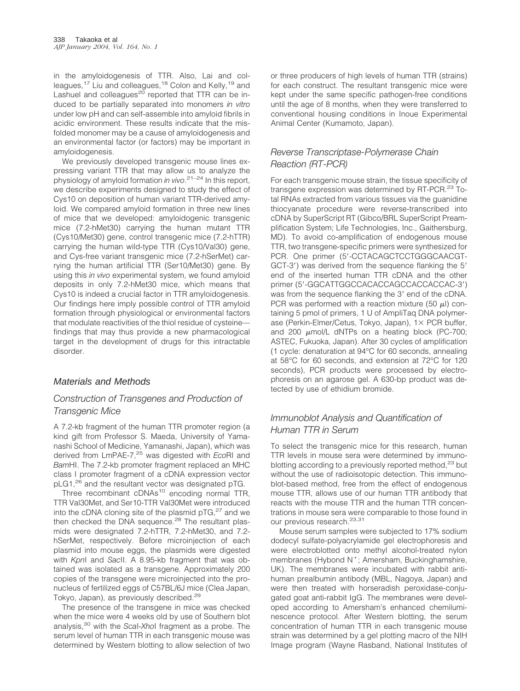in the amyloidogenesis of TTR. Also, Lai and colleagues,<sup>17</sup> Liu and colleagues,<sup>18</sup> Colon and Kelly,<sup>19</sup> and Lashuel and colleagues $^{20}$  reported that TTR can be induced to be partially separated into monomers *in vitro* under low pH and can self-assemble into amyloid fibrils in acidic environment. These results indicate that the misfolded monomer may be a cause of amyloidogenesis and an environmental factor (or factors) may be important in amyloidogenesis.

We previously developed transgenic mouse lines expressing variant TTR that may allow us to analyze the physiology of amyloid formation *in vivo*. 21–24 In this report, we describe experiments designed to study the effect of Cys10 on deposition of human variant TTR-derived amyloid. We compared amyloid formation in three new lines of mice that we developed: amyloidogenic transgenic mice (7.2-hMet30) carrying the human mutant TTR (Cys10/Met30) gene, control transgenic mice (7.2-hTTR) carrying the human wild-type TTR (Cys10/Val30) gene, and Cys-free variant transgenic mice (7.2-hSerMet) carrying the human artificial TTR (Ser10/Met30) gene. By using this *in vivo* experimental system, we found amyloid deposits in only 7.2-hMet30 mice, which means that Cys10 is indeed a crucial factor in TTR amyloidogenesis. Our findings here imply possible control of TTR amyloid formation through physiological or environmental factors that modulate reactivities of the thiol residue of cysteine findings that may thus provide a new pharmacological target in the development of drugs for this intractable disorder.

# Materials and Methods

# *Construction of Transgenes and Production of Transgenic Mice*

A 7.2-kb fragment of the human TTR promoter region (a kind gift from Professor S. Maeda, University of Yamanashi School of Medicine, Yamanashi, Japan), which was derived from LmPAE-7,25 was digested with *Eco*RI and *Bam*HI. The 7.2-kb promoter fragment replaced an MHC class I promoter fragment of a cDNA expression vector pLG1,<sup>26</sup> and the resultant vector was designated pTG.

Three recombinant cDNAs<sup>10</sup> encoding normal TTR, TTR Val30Met, and Ser10-TTR Val30Met were introduced into the cDNA cloning site of the plasmid pTG,<sup>27</sup> and we then checked the DNA sequence.<sup>28</sup> The resultant plasmids were designated 7.2-hTTR, 7.2-hMet30, and 7.2 hSerMet, respectively. Before microinjection of each plasmid into mouse eggs, the plasmids were digested with *Kpn*I and *Sac*II. A 8.95-kb fragment that was obtained was isolated as a transgene. Approximately 200 copies of the transgene were microinjected into the pronucleus of fertilized eggs of C57BL/6J mice (Clea Japan, Tokyo, Japan), as previously described.<sup>29</sup>

The presence of the transgene in mice was checked when the mice were 4 weeks old by use of Southern blot analysis,30 with the *Sca*I-*Xho*I fragment as a probe. The serum level of human TTR in each transgenic mouse was determined by Western blotting to allow selection of two or three producers of high levels of human TTR (strains) for each construct. The resultant transgenic mice were kept under the same specific pathogen-free conditions until the age of 8 months, when they were transferred to conventional housing conditions in Inoue Experimental Animal Center (Kumamoto, Japan).

# *Reverse Transcriptase-Polymerase Chain Reaction (RT-PCR)*

For each transgenic mouse strain, the tissue specificity of transgene expression was determined by RT-PCR.<sup>23</sup> Total RNAs extracted from various tissues via the guanidine thiocyanate procedure were reverse-transcribed into cDNA by SuperScript RT (Gibco/BRL SuperScript Preamplification System; Life Technologies, Inc., Gaithersburg, MD). To avoid co-amplification of endogenous mouse TTR, two transgene-specific primers were synthesized for PCR. One primer (5'-CCTACAGCTCCTGGGCAACGT-GCT-3') was derived from the sequence flanking the 5' end of the inserted human TTR cDNA and the other primer (5'-GGCATTGGCCACACCAGCCACCACCAC-3') was from the sequence flanking the 3' end of the cDNA. PCR was performed with a reaction mixture (50  $\mu$ I) containing 5 pmol of primers, 1 U of AmpliTaq DNA polymerase (Perkin-Elmer/Cetus, Tokyo, Japan), 1× PCR buffer, and 200  $\mu$ mol/L dNTPs on a heating block (PC-700; ASTEC, Fukuoka, Japan). After 30 cycles of amplification (1 cycle: denaturation at 94°C for 60 seconds, annealing at 58°C for 60 seconds, and extension at 72°C for 120 seconds), PCR products were processed by electrophoresis on an agarose gel. A 630-bp product was detected by use of ethidium bromide.

# *Immunoblot Analysis and Quantification of Human TTR in Serum*

To select the transgenic mice for this research, human TTR levels in mouse sera were determined by immunoblotting according to a previously reported method.<sup>23</sup> but without the use of radioisotopic detection. This immunoblot-based method, free from the effect of endogenous mouse TTR, allows use of our human TTR antibody that reacts with the mouse TTR and the human TTR concentrations in mouse sera were comparable to those found in our previous research.<sup>23,31</sup>

Mouse serum samples were subjected to 17% sodium dodecyl sulfate-polyacrylamide gel electrophoresis and were electroblotted onto methyl alcohol-treated nylon membranes (Hybond  $N^+$ ; Amersham, Buckinghamshire, UK). The membranes were incubated with rabbit antihuman prealbumin antibody (MBL, Nagoya, Japan) and were then treated with horseradish peroxidase-conjugated goat anti-rabbit IgG. The membranes were developed according to Amersham's enhanced chemiluminescence protocol. After Western blotting, the serum concentration of human TTR in each transgenic mouse strain was determined by a gel plotting macro of the NIH Image program (Wayne Rasband, National Institutes of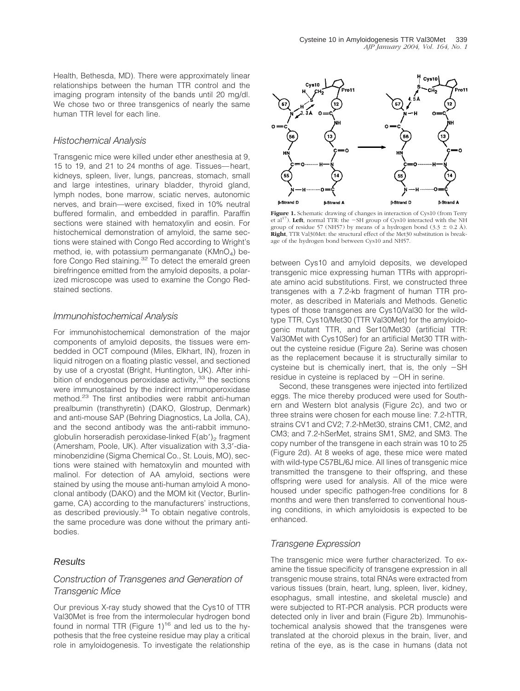Health, Bethesda, MD). There were approximately linear relationships between the human TTR control and the imaging program intensity of the bands until 20 mg/dl. We chose two or three transgenics of nearly the same human TTR level for each line.

#### *Histochemical Analysis*

Transgenic mice were killed under ether anesthesia at 9, 15 to 19, and 21 to 24 months of age. Tissues—heart, kidneys, spleen, liver, lungs, pancreas, stomach, small and large intestines, urinary bladder, thyroid gland, lymph nodes, bone marrow, sciatic nerves, autonomic nerves, and brain—were excised, fixed in 10% neutral buffered formalin, and embedded in paraffin. Paraffin sections were stained with hematoxylin and eosin. For histochemical demonstration of amyloid, the same sections were stained with Congo Red according to Wright's method, ie, with potassium permanganate ( $KMnO<sub>4</sub>$ ) before Congo Red staining.<sup>32</sup> To detect the emerald green birefringence emitted from the amyloid deposits, a polarized microscope was used to examine the Congo Redstained sections.

#### *Immunohistochemical Analysis*

For immunohistochemical demonstration of the major components of amyloid deposits, the tissues were embedded in OCT compound (Miles, Elkhart, IN), frozen in liquid nitrogen on a floating plastic vessel, and sectioned by use of a cryostat (Bright, Huntington, UK). After inhibition of endogenous peroxidase activity, $33$  the sections were immunostained by the indirect immunoperoxidase method.<sup>23</sup> The first antibodies were rabbit anti-human prealbumin (transthyretin) (DAKO, Glostrup, Denmark) and anti-mouse SAP (Behring Diagnostics, La Jolla, CA), and the second antibody was the anti-rabbit immunoglobulin horseradish peroxidase-linked  $F(ab')_2$  fragment (Amersham, Poole, UK). After visualization with 3,3-diaminobenzidine (Sigma Chemical Co., St. Louis, MO), sections were stained with hematoxylin and mounted with malinol. For detection of AA amyloid, sections were stained by using the mouse anti-human amyloid A monoclonal antibody (DAKO) and the MOM kit (Vector, Burlingame, CA) according to the manufacturers' instructions, as described previously.<sup>34</sup> To obtain negative controls, the same procedure was done without the primary antibodies.

#### Results

# *Construction of Transgenes and Generation of Transgenic Mice*

Our previous X-ray study showed that the Cys10 of TTR Val30Met is free from the intermolecular hydrogen bond found in normal TTR (Figure  $1$ )<sup>16</sup> and led us to the hypothesis that the free cysteine residue may play a critical role in amyloidogenesis. To investigate the relationship



**Figure 1.** Schematic drawing of changes in interaction of Cys10 (from Terry et  $al^{17}$ ). Left, normal TTR: the  $-SH$  group of Cys10 interacted with the NH group of residue 57 (NH57) by means of a hydrogen bond (3.3  $\pm$  0.2 Å). **Right**, TTR Val30Met: the structural effect of the Met30 substitution is breakage of the hydrogen bond between Cys10 and NH57.

between Cys10 and amyloid deposits, we developed transgenic mice expressing human TTRs with appropriate amino acid substitutions. First, we constructed three transgenes with a 7.2-kb fragment of human TTR promoter, as described in Materials and Methods. Genetic types of those transgenes are Cys10/Val30 for the wildtype TTR, Cys10/Met30 (TTR Val30Met) for the amyloidogenic mutant TTR, and Ser10/Met30 (artificial TTR: Val30Met with Cys10Ser) for an artificial Met30 TTR without the cysteine residue (Figure 2a). Serine was chosen as the replacement because it is structurally similar to cysteine but is chemically inert, that is, the only  $-SH$ residue in cysteine is replaced by  $-OH$  in serine.

Second, these transgenes were injected into fertilized eggs. The mice thereby produced were used for Southern and Western blot analysis (Figure 2c), and two or three strains were chosen for each mouse line: 7.2-hTTR, strains CV1 and CV2; 7.2-hMet30, strains CM1, CM2, and CM3; and 7.2-hSerMet, strains SM1, SM2, and SM3. The copy number of the transgene in each strain was 10 to 25 (Figure 2d). At 8 weeks of age, these mice were mated with wild-type C57BL/6J mice. All lines of transgenic mice transmitted the transgene to their offspring, and these offspring were used for analysis. All of the mice were housed under specific pathogen-free conditions for 8 months and were then transferred to conventional housing conditions, in which amyloidosis is expected to be enhanced.

#### *Transgene Expression*

The transgenic mice were further characterized. To examine the tissue specificity of transgene expression in all transgenic mouse strains, total RNAs were extracted from various tissues (brain, heart, lung, spleen, liver, kidney, esophagus, small intestine, and skeletal muscle) and were subjected to RT-PCR analysis. PCR products were detected only in liver and brain (Figure 2b). Immunohistochemical analysis showed that the transgenes were translated at the choroid plexus in the brain, liver, and retina of the eye, as is the case in humans (data not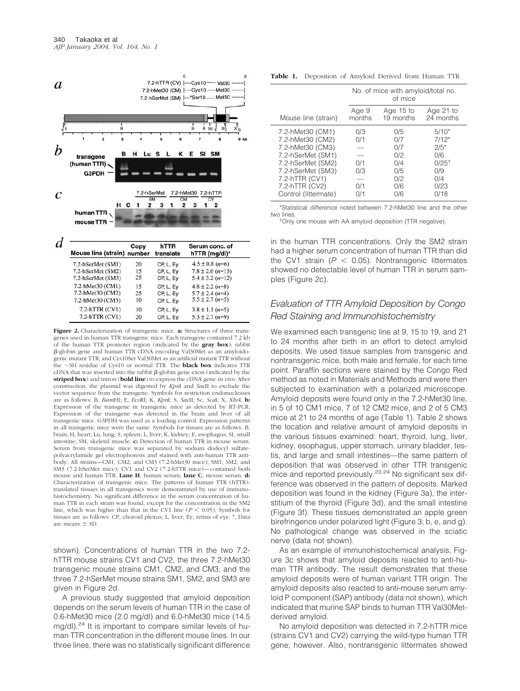

**Figure 2.** Characterization of transgenic mice. **a:** Structures of three transgenes used in human TTR transgenic mice. Each transgene contained 7.2 kb of the human TTR promoter region (indicated by the **gray box**); rabbit --globin gene and human TTR cDNA encoding Val30Met as an amyloidogenic mutant TTR; and Cys10Ser Val30Met as an artificial mutant TTR without the SH residue of Cys10 or normal TTR. The **black box** indicates TTR  $cDNA$  that was inserted into the rabbit  $\beta$ -globin gene exon (indicated by the **striped box**) and intron (**bold line**) to express the cDNA gene *in vivo*. After construction, the plasmid was digested by *Kpn*I and *Sac*II to exclude the vector sequence from the transgene. Symbols for restriction endonucleases are as follows: B, *Bam*HI; E, *Eco*RI; K, *Kpn*I; S, *Sac*II; Sc, *Sca*I; X, *Xho*I. **b:** Expression of the transgene in transgenic mice as detected by RT-PCR. Expression of the transgene was detected in the brain and liver of all transgenic mice. G3PDH was used as a loading control. Expression patterns in all transgenic mice were the same. Symbols for tissues are as follows: B, brain; H, heart; Lu, lung; S, spleen; L, liver; K, kidney; E, esophagus; SI, small intestine; SM, skeletal muscle. **c:** Detection of human TTR in mouse serum. Serum from transgenic mice was separated by sodium dodecyl sulfatepolyacrylamide gel electrophoresis and stained with anti-human TTR antibody. All strains—CM1, CM2, and CM3 (7.2-hMet30 mice); SM1, SM2, and SM3 (7.2-hSerMet mice); CV1 and CV2 (7.2-hTTR mice)—contained both mouse and human TTR. **Lane H**, human serum; **lane C**, mouse serum. **d:** Characterization of transgenic mice. The patterns of human TTR (hTTR) translated tissues in all transgenics were demonstrated by use of immunohistochemistry. No significant difference in the serum concentration of human TTR in each strain was found, except for the concentration in the SM2 line, which was higher than that in the CV1 line ( $P < 0.05$ ). Symbols for tissues are as follows: CP, choroid plexus; L, liver; Ey, retina of eye. \*, Data are means  $\pm$  SD.

shown). Concentrations of human TTR in the two 7.2 hTTR mouse strains CV1 and CV2, the three 7.2-hMet30 transgenic mouse strains CM1, CM2, and CM3, and the three 7.2-hSerMet mouse strains SM1, SM2, and SM3 are given in Figure 2d.

A previous study suggested that amyloid deposition depends on the serum levels of human TTR in the case of 0.6-hMet30 mice (2.0 mg/dl) and 6.0-hMet30 mice (14.5 mg/dl).<sup>24</sup> It is important to compare similar levels of human TTR concentration in the different mouse lines. In our three lines, there was no statistically significant difference

| Table 1. Deposition of Amyloid Derived from Human TTR |  |
|-------------------------------------------------------|--|
|-------------------------------------------------------|--|

|                      |        | No. of mice with amyloid/total no.<br>of mice |            |  |
|----------------------|--------|-----------------------------------------------|------------|--|
| Mouse line (strain)  | Age 9  | Age 15 to                                     | Age 21 to  |  |
|                      | months | 19 months                                     | 24 months  |  |
| 7.2-hMet30 (CM1)     | 0/3    | 0/5                                           | $5/10*$    |  |
| 7.2-hMet30 (CM2)     | 0/1    | 0/7                                           | $7/12*$    |  |
| 7.2-hMet30 (CM3)     |        | 0/7                                           | $2/5*$     |  |
| 7.2-hSerMet (SM1)    | 0/1    | 0/2                                           | 0/6        |  |
| 7.2-hSerMet (SM2)    |        | 0/4                                           | $0/25^{+}$ |  |
| 7.2-hSerMet (SM3)    | 0/3    | 0/5                                           | 0/9        |  |
| 7.2-hTTR (CV1)       |        | 0/2                                           | 0/4        |  |
| 7.2-hTTR (CV2)       | 0/1    | 0/6                                           | 0/23       |  |
| Control (littermate) | 0/1    | 0/6                                           | 0/18       |  |

\*Statistical difference noted between 7.2-hMet30 line and the other two lines.

<sup>†</sup>Only one mouse with AA amyloid deposition (TTR negative).

in the human TTR concentrations. Only the SM2 strain had a higher serum concentration of human TTR than did the CV1 strain  $(P < 0.05)$ . Nontransgenic littermates showed no detectable level of human TTR in serum samples (Figure 2c).

#### *Evaluation of TTR Amyloid Deposition by Congo Red Staining and Immunohistochemistry*

We examined each transgenic line at 9, 15 to 19, and 21 to 24 months after birth in an effort to detect amyloid deposits. We used tissue samples from transgenic and nontransgenic mice, both male and female, for each time point. Paraffin sections were stained by the Congo Red method as noted in Materials and Methods and were then subjected to examination with a polarized microscope. Amyloid deposits were found only in the 7.2-hMet30 line, in 5 of 10 CM1 mice, 7 of 12 CM2 mice, and 2 of 5 CM3 mice at 21 to 24 months of age (Table 1). Table 2 shows the location and relative amount of amyloid deposits in the various tissues examined: heart, thyroid, lung, liver, kidney, esophagus, upper stomach, urinary bladder, testis, and large and small intestines—the same pattern of deposition that was observed in other TTR transgenic mice and reported previously.<sup>23,24</sup> No significant sex difference was observed in the pattern of deposits. Marked deposition was found in the kidney (Figure 3a), the interstitium of the thyroid (Figure 3d), and the small intestine (Figure 3f). These tissues demonstrated an apple green birefringence under polarized light (Figure 3; b, e, and g). No pathological change was observed in the sciatic nerve (data not shown).

As an example of immunohistochemical analysis, Figure 3c shows that amyloid deposits reacted to anti-human TTR antibody. The result demonstrates that these amyloid deposits were of human variant TTR origin. The amyloid deposits also reacted to anti-mouse serum amyloid P component (SAP) antibody (data not shown), which indicated that murine SAP binds to human TTR Val30Metderived amyloid.

No amyloid deposition was detected in 7.2-hTTR mice (strains CV1 and CV2) carrying the wild-type human TTR gene, however. Also, nontransgenic littermates showed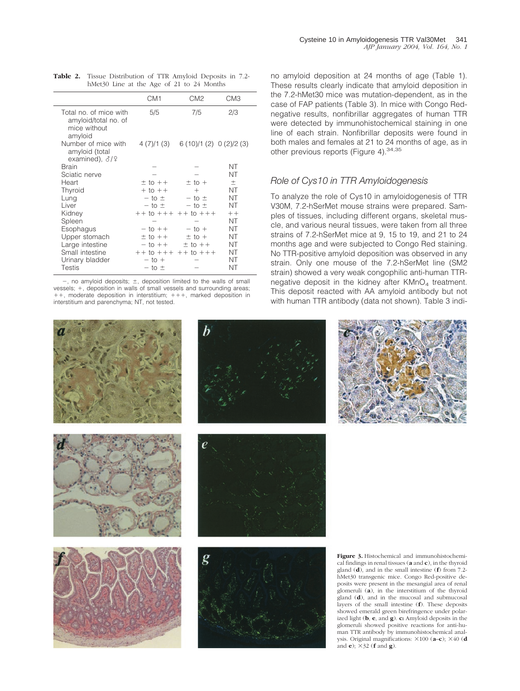| <b>Table 2.</b> Tissue Distribution of TTR Amyloid Deposits in 7.2- |
|---------------------------------------------------------------------|
| hMet30 Line at the Age of 21 to 24 Months                           |

|                                                                           | CM <sub>1</sub>             | CM <sub>2</sub>             | CM <sub>3</sub> |
|---------------------------------------------------------------------------|-----------------------------|-----------------------------|-----------------|
| Total no. of mice with<br>amyloid/total no. of<br>mice without<br>amyloid | 5/5                         | 7/5                         | 2/3             |
| Number of mice with<br>amyloid (total<br>examined), $\partial/\partial$   | 4 (7)/1 (3)                 | 6(10)/1(2) 0(2)/2(3)        |                 |
| Brain                                                                     |                             |                             | ΝT              |
| Sciatic nerve                                                             |                             |                             | NT              |
| Heart                                                                     | $±$ to $++$                 | $±$ to $+$                  | $\pm$           |
| Thyroid                                                                   | $+$ to $++$                 | $^{+}$                      | NT              |
| Lung                                                                      | $-$ to $\pm$                | $-$ to $\pm$                | NT              |
| Liver                                                                     | $-$ to $\pm$                | $-$ to $\pm$                | NT              |
| Kidney                                                                    |                             | $++$ to $+++$ $++$ to $+++$ | $++$            |
| Spleen                                                                    |                             |                             | NT              |
| Esophagus                                                                 | $-$ to $++$                 | $-$ to $+$                  | NT              |
| Upper stomach                                                             | $±$ to $++$                 | $±$ to $+$                  | NT              |
| Large intestine                                                           | $-$ to $++$                 | $±$ to $++$                 | NT              |
| Small intestine                                                           | $++$ to $+++$ $++$ to $+++$ |                             | NT              |
| Urinary bladder                                                           | $-$ to $+$                  |                             | NT              |
| Testis                                                                    | $-$ to $\pm$                |                             | NΤ              |

 $-$ , no amyloid deposits;  $\pm$ , deposition limited to the walls of small vessels; +, deposition in walls of small vessels and surrounding areas;  $++$ , moderate deposition in interstitium;  $++$ , marked deposition in interstitium and parenchyma; NT, not tested.

no amyloid deposition at 24 months of age (Table 1). These results clearly indicate that amyloid deposition in the 7.2-hMet30 mice was mutation-dependent, as in the case of FAP patients (Table 3). In mice with Congo Rednegative results, nonfibrillar aggregates of human TTR were detected by immunohistochemical staining in one line of each strain. Nonfibrillar deposits were found in both males and females at 21 to 24 months of age, as in other previous reports (Figure 4). 34, 35

#### *Role of Cys10 in TTR Amyloidogenesis*

To analyze the role of Cys10 in amyloidogenesis of TTR V30M, 7.2-hSerMet mouse strains were prepared. Samples of tissues, including different organs, skeletal muscle, and various neural tissues, were taken from all three strains of 7.2-hSerMet mice at 9, 15 to 19, and 21 to 24 months age and were subjected to Congo Red staining. No TTR-positive amyloid deposition was observed in any strain. Only one mouse of the 7.2-hSerMet line (SM2 strain) showed a very weak congophilic anti-human TTRnegative deposit in the kidney after  $KMD<sub>4</sub>$  treatment. This deposit reacted with AA amyloid antibody but not with human TTR antibody (data not shown). Table 3 indi-

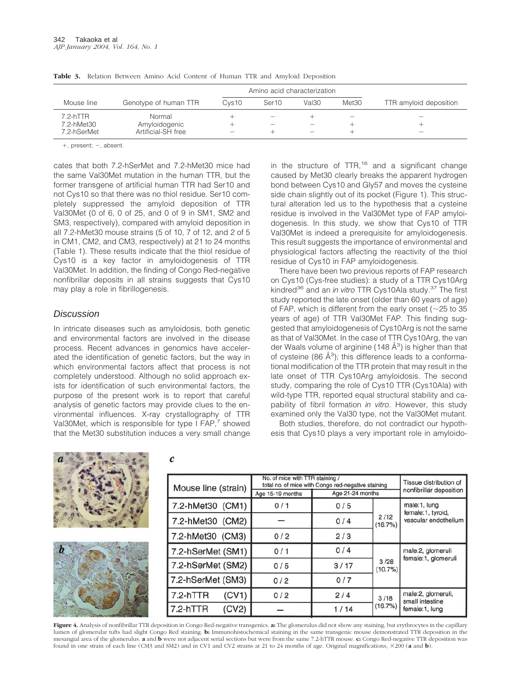|             |                       | Amino acid characterization |                          |                          |                                 |                          |
|-------------|-----------------------|-----------------------------|--------------------------|--------------------------|---------------------------------|--------------------------|
| Mouse line  | Genotype of human TTR | Cys <sub>10</sub>           | Ser <sub>10</sub>        | Val30                    | Met30                           | TTR amyloid deposition   |
| $7.2-hTTR$  | Normal                |                             | $\overline{\phantom{0}}$ |                          | $\hspace{0.1mm}-\hspace{0.1mm}$ | $\overline{\phantom{0}}$ |
| 7.2-hMet30  | Amyloidogenic         |                             |                          | -                        |                                 |                          |
| 7.2-hSerMet | Artificial-SH free    | -                           | -                        | $\overline{\phantom{a}}$ |                                 |                          |

**Table 3.** Relation Between Amino Acid Content of Human TTR and Amyloid Deposition

 $+$ . present:  $-$ . absent.

cates that both 7.2-hSerMet and 7.2-hMet30 mice had the same Val30Met mutation in the human TTR, but the former transgene of artificial human TTR had Ser10 and not Cys10 so that there was no thiol residue. Ser10 completely suppressed the amyloid deposition of TTR Val30Met (0 of 6, 0 of 25, and 0 of 9 in SM1, SM2 and SM3, respectively), compared with amyloid deposition in all 7.2-hMet30 mouse strains (5 of 10, 7 of 12, and 2 of 5 in CM1, CM2, and CM3, respectively) at 21 to 24 months (Table 1). These results indicate that the thiol residue of Cys10 is a key factor in amyloidogenesis of TTR Val30Met. In addition, the finding of Congo Red-negative nonfibrillar deposits in all strains suggests that Cys10 may play a role in fibrillogenesis.

#### Discussion

In intricate diseases such as amyloidosis, both genetic and environmental factors are involved in the disease process. Recent advances in genomics have accelerated the identification of genetic factors, but the way in which environmental factors affect that process is not completely understood. Although no solid approach exists for identification of such environmental factors, the purpose of the present work is to report that careful analysis of genetic factors may provide clues to the environmental influences. X-ray crystallography of TTR Val30Met, which is responsible for type I  $FAP$ ,<sup>7</sup> showed that the Met30 substitution induces a very small change

 $\mathcal{C}_{0}$ 

in the structure of  $TTR$ ,<sup>16</sup> and a significant change caused by Met30 clearly breaks the apparent hydrogen bond between Cys10 and Gly57 and moves the cysteine side chain slightly out of its pocket (Figure 1). This structural alteration led us to the hypothesis that a cysteine residue is involved in the Val30Met type of FAP amyloidogenesis. In this study, we show that Cys10 of TTR Val30Met is indeed a prerequisite for amyloidogenesis. This result suggests the importance of environmental and physiological factors affecting the reactivity of the thiol residue of Cys10 in FAP amyloidogenesis.

There have been two previous reports of FAP research on Cys10 (Cys-free studies): a study of a TTR Cys10Arg kindred36 and an *in vitro* TTR Cys10Ala study.37 The first study reported the late onset (older than 60 years of age) of FAP, which is different from the early onset ( $\sim$ 25 to 35 years of age) of TTR Val30Met FAP. This finding suggested that amyloidogenesis of Cys10Arg is not the same as that of Val30Met. In the case of TTR Cys10Arg, the van der Waals volume of arginine (148 Å<sup>3</sup>) is higher than that of cysteine (86  $\AA$ <sup>3</sup>); this difference leads to a conformational modification of the TTR protein that may result in the late onset of TTR Cys10Arg amyloidosis. The second study, comparing the role of Cys10 TTR (Cys10Ala) with wild-type TTR, reported equal structural stability and capability of fibril formation *in vitro*. However, this study examined only the Val30 type, not the Val30Met mutant.

Both studies, therefore, do not contradict our hypothesis that Cys10 plays a very important role in amyloido-

|                 | Mouse line (strain) | No. of mice with TTR staining /<br>total no. of mice with Congo red-negative staining |                  |                 | Tissue distribution of                                    |
|-----------------|---------------------|---------------------------------------------------------------------------------------|------------------|-----------------|-----------------------------------------------------------|
|                 |                     | Age 15-19 months                                                                      | Age 21-24 months |                 | nonfibrillar deposition                                   |
| 8               | 7.2-hMet30 (CM1)    | 0/1                                                                                   | 0/5              |                 | male:1, lung<br>female:1, tyroid,<br>vascular endothelium |
|                 | 7.2-hMet30 (CM2)    |                                                                                       | 0/4              | 2/12<br>(16.7%) |                                                           |
|                 | 7.2-hMet30 (CM3)    | 0/2                                                                                   | 2/3              |                 |                                                           |
|                 | 7.2-hSerMet (SM1)   | 0/1                                                                                   | 0/4              |                 | male:2, glomeruli<br>female:1, glomeruli                  |
| <b>Congress</b> | 7.2-hSerMet (SM2)   | 0/5                                                                                   | 3/17             | 3/28<br>(10.7%) |                                                           |
|                 | 7.2-hSerMet (SM3)   | 0/2                                                                                   | 0/7              |                 |                                                           |
|                 | 7.2-hTTR<br>(CV1)   | 0/2                                                                                   | 2/4              | 3/18            | male:2, glomeruli,<br>small intestine<br>female:1, lung   |
|                 | 7.2-hTTR<br>(CV2)   |                                                                                       | 1/14             | (16.7%)         |                                                           |

**Figure 4.** Analysis of nonfibrillar TTR deposition in Congo Red-negative transgenics. **a:** The glomerulus did not show any staining, but erythrocytes in the capillary lumen of glomerular tufts had slight Congo Red staining. **b:** Immunohistochemical staining in the same transgenic mouse demonstrated TTR deposition in the mesangial area of the glomerulus. **a** and **b** were not adjacent serial sections but were from the same 7.2-hTTR mouse. **c:** Congo Red-negative TTR deposition was found in one strain of each line (CM3 and SM2) and in CV1 and CV2 strains at 21 to 24 months of age. Original magnifications,  $\times 200$  (a and **b**).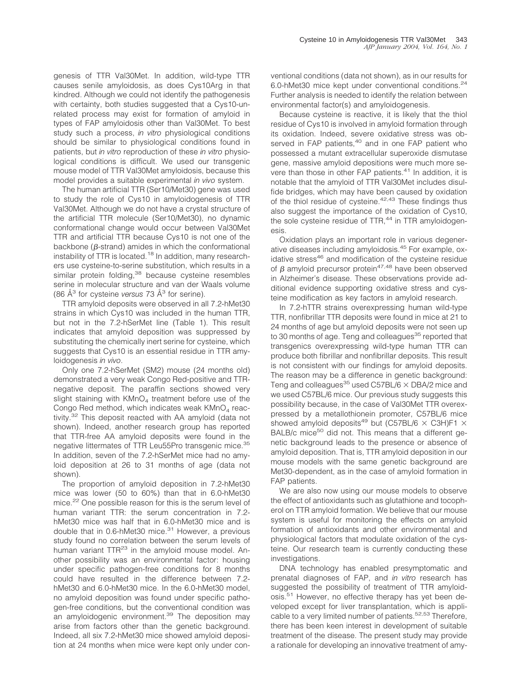genesis of TTR Val30Met. In addition, wild-type TTR causes senile amyloidosis, as does Cys10Arg in that kindred. Although we could not identify the pathogenesis with certainty, both studies suggested that a Cys10-unrelated process may exist for formation of amyloid in types of FAP amyloidosis other than Val30Met. To best study such a process, *in vitro* physiological conditions should be similar to physiological conditions found in patients, but *in vitro* reproduction of these *in vitro* physiological conditions is difficult. We used our transgenic mouse model of TTR Val30Met amyloidosis, because this model provides a suitable experimental *in vivo* system.

The human artificial TTR (Ser10/Met30) gene was used to study the role of Cys10 in amyloidogenesis of TTR Val30Met. Although we do not have a crystal structure of the artificial TTR molecule (Ser10/Met30), no dynamic conformational change would occur between Val30Met TTR and artificial TTR because Cys10 is not one of the backbone ( $\beta$ -strand) amides in which the conformational instability of TTR is located.<sup>18</sup> In addition, many researchers use cysteine-to-serine substitution, which results in a similar protein folding,<sup>38</sup> because cysteine resembles serine in molecular structure and van der Waals volume (86 Å<sup>3</sup> for cysteine *versus* 73 Å3 for serine).

TTR amyloid deposits were observed in all 7.2-hMet30 strains in which Cys10 was included in the human TTR, but not in the 7.2-hSerMet line (Table 1). This result indicates that amyloid deposition was suppressed by substituting the chemically inert serine for cysteine, which suggests that Cys10 is an essential residue in TTR amyloidogenesis *in vivo*.

Only one 7.2-hSerMet (SM2) mouse (24 months old) demonstrated a very weak Congo Red-positive and TTRnegative deposit. The paraffin sections showed very slight staining with  $KMnO<sub>4</sub>$  treatment before use of the Congo Red method, which indicates weak  $KMnO<sub>4</sub>$  reactivity.<sup>32</sup> This deposit reacted with AA amyloid (data not shown). Indeed, another research group has reported that TTR-free AA amyloid deposits were found in the negative littermates of TTR Leu55Pro transgenic mice.<sup>35</sup> In addition, seven of the 7.2-hSerMet mice had no amyloid deposition at 26 to 31 months of age (data not shown).

The proportion of amyloid deposition in 7.2-hMet30 mice was lower (50 to 60%) than that in 6.0-hMet30 mice.<sup>22</sup> One possible reason for this is the serum level of human variant TTR: the serum concentration in 7.2 hMet30 mice was half that in 6.0-hMet30 mice and is double that in 0.6-hMet30 mice.<sup>31</sup> However, a previous study found no correlation between the serum levels of human variant  $TTR^{23}$  in the amyloid mouse model. Another possibility was an environmental factor: housing under specific pathogen-free conditions for 8 months could have resulted in the difference between 7.2 hMet30 and 6.0-hMet30 mice. In the 6.0-hMet30 model, no amyloid deposition was found under specific pathogen-free conditions, but the conventional condition was an amyloidogenic environment.<sup>39</sup> The deposition may arise from factors other than the genetic background. Indeed, all six 7.2-hMet30 mice showed amyloid deposition at 24 months when mice were kept only under conventional conditions (data not shown), as in our results for 6.0-hMet30 mice kept under conventional conditions.24 Further analysis is needed to identify the relation between environmental factor(s) and amyloidogenesis.

Because cysteine is reactive, it is likely that the thiol residue of Cys10 is involved in amyloid formation through its oxidation. Indeed, severe oxidative stress was observed in FAP patients,<sup>40</sup> and in one FAP patient who possessed a mutant extracellular superoxide dismutase gene, massive amyloid depositions were much more severe than those in other FAP patients.<sup>41</sup> In addition, it is notable that the amyloid of TTR Val30Met includes disulfide bridges, which may have been caused by oxidation of the thiol residue of cysteine.<sup>42,43</sup> These findings thus also suggest the importance of the oxidation of Cys10, the sole cysteine residue of  $TTR$ ,  $44$  in TTR amyloidogenesis.

Oxidation plays an important role in various degenerative diseases including amyloidosis.45 For example, oxidative stress<sup>46</sup> and modification of the cysteine residue of  $\beta$  amyloid precursor protein<sup>47,48</sup> have been observed in Alzheimer's disease. These observations provide additional evidence supporting oxidative stress and cysteine modification as key factors in amyloid research.

In 7.2-hTTR strains overexpressing human wild-type TTR, nonfibrillar TTR deposits were found in mice at 21 to 24 months of age but amyloid deposits were not seen up to 30 months of age. Teng and colleagues<sup>35</sup> reported that transgenics overexpressing wild-type human TTR can produce both fibrillar and nonfibrillar deposits. This result is not consistent with our findings for amyloid deposits. The reason may be a difference in genetic background: Teng and colleagues $^{35}$  used C57BL/6  $\times$  DBA/2 mice and we used C57BL/6 mice. Our previous study suggests this possibility because, in the case of Val30Met TTR overexpressed by a metallothionein promoter, C57BL/6 mice showed amyloid deposits<sup>49</sup> but (C57BL/6  $\times$  C3H)F1  $\times$ BALB/c mice<sup>50</sup> did not. This means that a different genetic background leads to the presence or absence of amyloid deposition. That is, TTR amyloid deposition in our mouse models with the same genetic background are Met30-dependent, as in the case of amyloid formation in FAP patients.

We are also now using our mouse models to observe the effect of antioxidants such as glutathione and tocopherol on TTR amyloid formation. We believe that our mouse system is useful for monitoring the effects on amyloid formation of antioxidants and other environmental and physiological factors that modulate oxidation of the cysteine. Our research team is currently conducting these investigations.

DNA technology has enabled presymptomatic and prenatal diagnoses of FAP, and *in vitro* research has suggested the possibility of treatment of TTR amyloidosis.<sup>51</sup> However, no effective therapy has yet been developed except for liver transplantation, which is applicable to a very limited number of patients.<sup>52,53</sup> Therefore, there has been keen interest in development of suitable treatment of the disease. The present study may provide a rationale for developing an innovative treatment of amy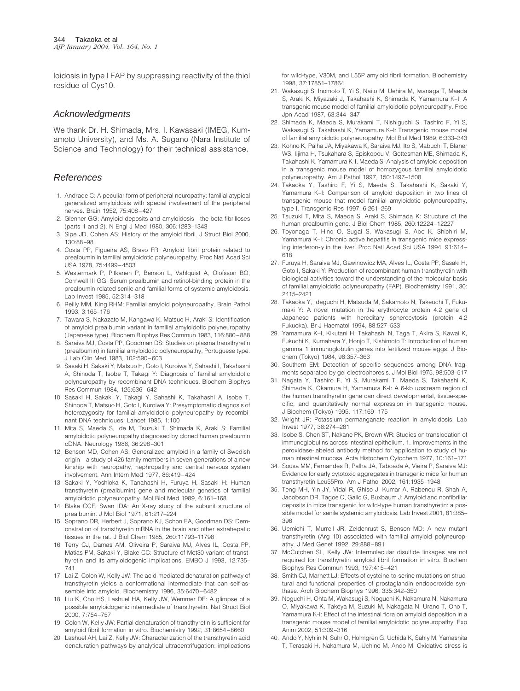loidosis in type I FAP by suppressing reactivity of the thiol residue of Cys10.

#### Acknowledgments

We thank Dr. H. Shimada, Mrs. I. Kawasaki (IMEG, Kumamoto University), and Ms. A. Sugano (Nara Institute of Science and Technology) for their technical assistance.

#### References

- 1. Andrade C: A peculiar form of peripheral neuropathy: familial atypical generalized amyloidosis with special involvement of the peripheral nerves. Brain 1952, 75:408–427
- 2. Glenner GG: Amyloid deposits and amyloidosis—the beta-fibrilloses (parts 1 and 2). N Engl J Med 1980, 306:1283–1343
- 3. Sipe JD, Cohen AS: History of the amyloid fibril. J Struct Biol 2000, 130:88–98
- 4. Costa PP, Figueira AS, Bravo FR: Amyloid fibril protein related to prealbumin in familial amyloidotic polyneuropathy. Proc Natl Acad Sci USA 1978, 75:4499–4503
- 5. Westermark P, Pitkanen P, Benson L, Vahlquist A, Olofsson BO, Cornwell III GG: Serum prealbumin and retinol-binding protein in the prealbumin-related senile and familial forms of systemic amyloidosis. Lab Invest 1985, 52:314–318
- 6. Reilly MM, King RHM: Familial amyloid polyneuropathy. Brain Pathol 1993, 3:165–176
- 7. Tawara S, Nakazato M, Kangawa K, Matsuo H, Araki S: Identification of amyloid prealbumin variant in familial amyloidotic polyneuropathy (Japanese type). Biochem Biophys Res Commun 1983, 116:880–888
- 8. Saraiva MJ, Costa PP, Goodman DS: Studies on plasma transthyretin (prealbumin) in familial amyloidotic polyneuropathy, Portuguese type. J Lab Clin Med 1983, 102:590–603
- 9. Sasaki H, Sakaki Y, Matsuo H, Goto I, Kuroiwa Y, Sahashi I, Takahashi A, Shinoda T, Isobe T, Takagi Y: Diagnosis of familial amyloidotic polyneuropathy by recombinant DNA techniques. Biochem Biophys Res Commun 1984, 125:636–642
- 10. Sasaki H, Sakaki Y, Takagi Y, Sahashi K, Takahashi A, Isobe T, Shinoda T, Matsuo H, Goto I, Kuroiwa Y: Presymptomatic diagnosis of heterozygosity for familial amyloidotic polyneuropathy by recombinant DNA techniques. Lancet 1985, 1:100
- 11. Mita S, Maeda S, Ide M, Tsuzuki T, Shimada K, Araki S: Familial amyloidotic polyneuropathy diagnosed by cloned human prealbumin cDNA. Neurology 1986, 36:298–301
- 12. Benson MD, Cohen AS: Generalized amyloid in a family of Swedish origin—a study of 426 family members in seven generations of a new kinship with neuropathy, nephropathy and central nervous system involvement. Ann Intern Med 1977, 86:419–424
- 13. Sakaki Y, Yoshioka K, Tanahashi H, Furuya H, Sasaki H: Human transthyretin (prealbumin) gene and molecular genetics of familial amyloidotic polyneuropathy. Mol Biol Med 1989, 6:161–168
- 14. Blake CCF, Swan IDA: An X-ray study of the subunit structure of prealbumin. J Mol Biol 1971, 61:217–224
- 15. Soprano DR, Herbert J, Soprano KJ, Schon EA, Goodman DS: Demonstration of transthyretin mRNA in the brain and other extrahepatic tissues in the rat. J Biol Chem 1985, 260:11793–11798
- 16. Terry CJ, Damas AM, Oliveira P, Saraiva MJ, Alves IL, Costa PP, Matias PM, Sakaki Y, Blake CC: Structure of Met30 variant of transthyretin and its amyloidogenic implications. EMBO J 1993, 12:735– 741
- 17. Lai Z, Colon W, Kelly JW: The acid-mediated denaturation pathway of transthyretin yields a conformational intermediate that can self-assemble into amyloid. Biochemistry 1996, 35:6470–6482
- 18. Liu K, Cho HS, Lashuel HA, Kelly JW, Wemmer DE: A glimpse of a possible amyloidogenic intermediate of transthyretin. Nat Struct Biol 2000, 7:754–757
- 19. Colon W, Kelly JW: Partial denaturation of transthyretin is sufficient for amyloid fibril formation in vitro. Biochemistry 1992, 31:8654–8660
- 20. Lashuel AH, Lai Z, Kelly JW: Characterization of the transthyretin acid denaturation pathways by analytical ultracentrifugation: implications

for wild-type, V30M, and L55P amyloid fibril formation. Biochemistry 1998, 37:17851–17864

- 21. Wakasugi S, Inomoto T, Yi S, Naito M, Uehira M, Iwanaga T, Maeda S, Araki K, Miyazaki J, Takahashi K, Shimada K, Yamamura K–I: A transgenic mouse model of familial amyloidotic polyneuropathy. Proc Jpn Acad 1987, 63:344–347
- 22. Shimada K, Maeda S, Murakami T, Nishiguchi S, Tashiro F, Yi S, Wakasugi S, Takahashi K, Yamamura K–I: Transgenic mouse model of familial amyloidotic polyneuropathy. Mol Biol Med 1989, 6:333–343
- 23. Kohno K, Palha JA, Miyakawa K, Saraiva MJ, Ito S, Mabuchi T, Blaner WS, Iijima H, Tsukahara S, Episkopou V, Gottesman ME, Shimada K, Takahashi K, Yamamura K-I, Maeda S: Analysis of amyloid deposition in a transgenic mouse model of homozygous familial amyloidotic polyneuropathy. Am J Pathol 1997, 150:1497–1508
- 24. Takaoka Y, Tashiro F, Yi S, Maeda S, Takahashi K, Sakaki Y, Yamamura K–I: Comparison of amyloid deposition in two lines of transgenic mouse that model familial amyloidotic polyneuropathy, type I. Transgenic Res 1997, 6:261–269
- 25. Tsuzuki T, Mita S, Maeda S, Araki S, Shimada K: Structure of the human prealbumin gene. J Biol Chem 1985, 260:12224–12227
- 26. Toyonaga T, Hino O, Sugai S, Wakasugi S, Abe K, Shichiri M, Yamamura K-I: Chronic active hepatitis in transgenic mice expressing interferon- $\gamma$  in the liver. Proc Natl Acad Sci USA 1994, 91:614– 618
- 27. Furuya H, Saraiva MJ, Gawinowicz MA, Alves IL, Costa PP, Sasaki H, Goto I, Sakaki Y: Production of recombinant human transthyretin with biological activities toward the understanding of the molecular basis of familial amyloidotic polyneuropathy (FAP). Biochemistry 1991, 30: 2415–2421
- 28. Takaoka Y, Ideguchi H, Matsuda M, Sakamoto N, Takeuchi T, Fukumaki Y: A novel mutation in the erythrocyte protein 4.2 gene of Japanese patients with hereditary spherocytosis (protein 4.2 Fukuoka). Br J Haematol 1994, 88:527–533
- 29. Yamamura K–I, Kikutani H, Takahashi N, Taga T, Akira S, Kawai K, Fukuchi K, Kumahara Y, Honjo T, Kishimoto T: Introduction of human gamma 1 immunoglobulin genes into fertilized mouse eggs. J Biochem (Tokyo) 1984, 96:357–363
- 30. Southern EM: Detection of specific sequences among DNA fragments separated by gel electrophoresis. J Mol Biol 1975, 98:503–517
- 31. Nagata Y, Tashiro F, Yi S, Murakami T, Maeda S, Takahashi K, Shimada K, Okamura H, Yamamura K-I: A 6-kb upstream region of the human transthyretin gene can direct developmental, tissue-specific, and quantitatively normal expression in transgenic mouse. J Biochem (Tokyo) 1995, 117:169–175
- 32. Wright JR: Potassium permanganate reaction in amyloidosis. Lab Invest 1977, 36:274–281
- 33. Isobe S, Chen ST, Nakane PK, Brown WR: Studies on translocation of immunoglobulins across intestinal epithelium. 1. Improvements in the peroxidase-labeled antibody method for application to study of human intestinal mucosa. Acta Histochem Cytochem 1977, 10:161–171
- 34. Sousa MM, Fernandes R, Palha JA, Taboada A, Vieira P, Saraiva MJ: Evidence for early cytotoxic aggregates in transgenic mice for human transthyretin Leu55Pro. Am J Pathol 2002, 161:1935–1948
- 35. Teng MH, Yin JY, Vidal R, Ghiso J, Kumar A, Rabenou R, Shah A, Jacobson DR, Tagoe C, Gallo G, Buxbaum J: Amyloid and nonfibrillar deposits in mice transgenic for wild-type human transthyretin: a possible model for senile systemic amyloidosis. Lab Invest 2001, 81:385– 396
- 36. Uemichi T, Murrell JR, Zeldenrust S, Benson MD: A new mutant transthyretin (Arg 10) associated with familial amyloid polyneuropathy. J Med Genet 1992, 29:888–891
- 37. McCutchen SL, Kelly JW: Intermolecular disulfide linkages are not required for transthyretin amyloid fibril formation in vitro. Biochem Biophys Res Commun 1993, 197:415–421
- 38. Smith CJ, Marnett LJ: Effects of cysteine-to-serine mutations on structural and functional properties of prostaglandin endoperoxide synthase. Arch Biochem Biophys 1996, 335:342–350
- 39. Noguchi H, Ohta M, Wakasugi S, Noguchi K, Nakamura N, Nakamura O, Miyakawa K, Takeya M, Suzuki M, Nakagata N, Urano T, Ono T, Yamamura K-I: Effect of the intestinal flora on amyloid deposition in a transgenic mouse model of familial amyloidotic polyneuropathy. Exp Anim 2002, 51:309–316
- 40. Ando Y, Nyhlin N, Suhr O, Holmgren G, Uchida K, Sahly M, Yamashita T, Terasaki H, Nakamura M, Uchino M, Ando M: Oxidative stress is